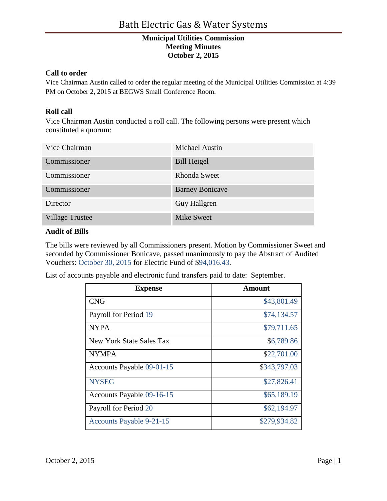### **Call to order**

Vice Chairman Austin called to order the regular meeting of the Municipal Utilities Commission at 4:39 PM on October 2, 2015 at BEGWS Small Conference Room.

## **Roll call**

Vice Chairman Austin conducted a roll call. The following persons were present which constituted a quorum:

| Vice Chairman          | <b>Michael Austin</b>  |
|------------------------|------------------------|
| Commissioner           | <b>Bill Heigel</b>     |
| Commissioner           | <b>Rhonda Sweet</b>    |
| Commissioner           | <b>Barney Bonicave</b> |
| Director               | <b>Guy Hallgren</b>    |
| <b>Village Trustee</b> | <b>Mike Sweet</b>      |

## **Audit of Bills**

The bills were reviewed by all Commissioners present. Motion by Commissioner Sweet and seconded by Commissioner Bonicave, passed unanimously to pay the Abstract of Audited Vouchers: October 30, 2015 for Electric Fund of \$94,016.43.

List of accounts payable and electronic fund transfers paid to date: September.

| <b>Expense</b>            | Amount       |
|---------------------------|--------------|
| <b>CNG</b>                | \$43,801.49  |
| Payroll for Period 19     | \$74,134.57  |
| <b>NYPA</b>               | \$79,711.65  |
| New York State Sales Tax  | \$6,789.86   |
| <b>NYMPA</b>              | \$22,701.00  |
| Accounts Payable 09-01-15 | \$343,797.03 |
| <b>NYSEG</b>              | \$27,826.41  |
| Accounts Payable 09-16-15 | \$65,189.19  |
| Payroll for Period 20     | \$62,194.97  |
| Accounts Payable 9-21-15  | \$279,934.82 |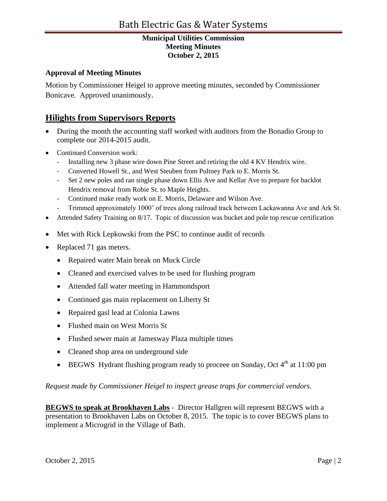## **Approval of Meeting Minutes**

Motion by Commissioner Heigel to approve meeting minutes, seconded by Commissioner Bonicave. Approved unanimously.

# **Hilights from Supervisors Reports**

- During the month the accounting staff worked with auditors from the Bonadio Group to complete our 2014-2015 audit.
- Continued Conversion work:
	- Installing new 3 phase wire down Pine Street and retiring the old 4 KV Hendrix wire.
	- Converted Howell St., and West Steuben from Pultney Park to E. Morris St.
	- Set 2 new poles and ran single phase down Ellis Ave and Kellar Ave to prepare for backlot Hendrix removal from Robie St. to Maple Heights.
	- Continued make ready work on E. Morris, Delaware and Wilson Ave.
	- Trimmed approximately 1000' of trees along railroad track between Lackawanna Ave and Ark St.
- Attended Safety Training on 8/17. Topic of discussion was bucket and pole top rescue certification
- Met with Rick Lepkowski from the PSC to continue audit of records
- Replaced 71 gas meters.
	- Repaired water Main break on Muck Circle
	- Cleaned and exercised valves to be used for flushing program
	- Attended fall water meeting in Hammondsport
	- Continued gas main replacement on Liberty St
	- Repaired gasl lead at Colonia Lawns
	- Flushed main on West Morris St
	- Flushed sewer main at Jamesway Plaza multiple times
	- Cleaned shop area on underground side
	- **BEGWS** Hydrant flushing program ready to proceee on Sunday, Oct  $4<sup>th</sup>$  at 11:00 pm

*Request made by Commissioner Heigel to inspect grease traps for commercial vendors.* 

**BEGWS to speak at Brookhaven Labs** - Director Hallgren will represent BEGWS with a presentation to Brookhaven Labs on October 8, 2015. The topic is to cover BEGWS plans to implement a Microgrid in the Village of Bath.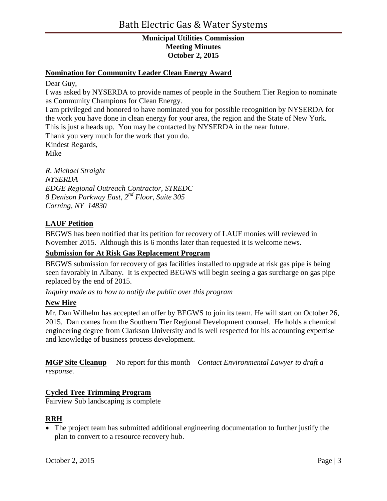## **Nomination for Community Leader Clean Energy Award**

Dear Guy,

I was asked by NYSERDA to provide names of people in the Southern Tier Region to nominate as Community Champions for Clean Energy. I am privileged and honored to have nominated you for possible recognition by NYSERDA for the work you have done in clean energy for your area, the region and the State of New York. This is just a heads up. You may be contacted by NYSERDA in the near future. Thank you very much for the work that you do. Kindest Regards, Mike *R. Michael Straight NYSERDA*

*EDGE Regional Outreach Contractor, STREDC 8 Denison Parkway East, 2nd Floor, Suite 305 Corning, NY 14830*

# **LAUF Petition**

BEGWS has been notified that its petition for recovery of LAUF monies will reviewed in November 2015. Although this is 6 months later than requested it is welcome news.

# **Submission for At Risk Gas Replacement Program**

BEGWS submission for recovery of gas facilities installed to upgrade at risk gas pipe is being seen favorably in Albany. It is expected BEGWS will begin seeing a gas surcharge on gas pipe replaced by the end of 2015.

*Inquiry made as to how to notify the public over this program*

# **New Hire**

Mr. Dan Wilhelm has accepted an offer by BEGWS to join its team. He will start on October 26, 2015. Dan comes from the Southern Tier Regional Development counsel. He holds a chemical engineering degree from Clarkson University and is well respected for his accounting expertise and knowledge of business process development.

**MGP Site Cleanup** – No report for this month – *Contact Environmental Lawyer to draft a response.* 

# **Cycled Tree Trimming Program**

Fairview Sub landscaping is complete

# **RRH**

 The project team has submitted additional engineering documentation to further justify the plan to convert to a resource recovery hub.